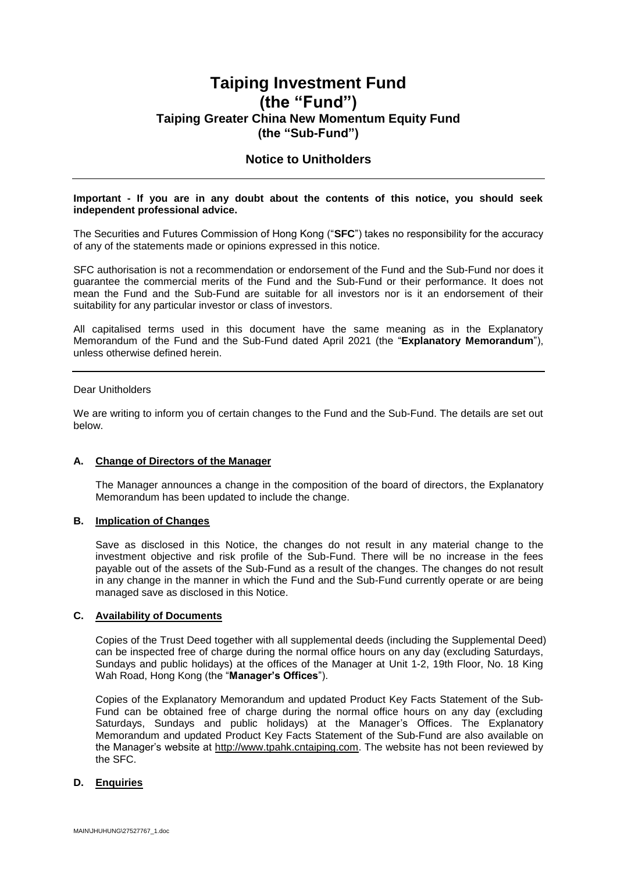# **Taiping Investment Fund (the "Fund") Taiping Greater China New Momentum Equity Fund (the "Sub-Fund")**

### **Notice to Unitholders**

#### **Important - If you are in any doubt about the contents of this notice, you should seek independent professional advice.**

The Securities and Futures Commission of Hong Kong ("**SFC**") takes no responsibility for the accuracy of any of the statements made or opinions expressed in this notice.

SFC authorisation is not a recommendation or endorsement of the Fund and the Sub-Fund nor does it guarantee the commercial merits of the Fund and the Sub-Fund or their performance. It does not mean the Fund and the Sub-Fund are suitable for all investors nor is it an endorsement of their suitability for any particular investor or class of investors.

All capitalised terms used in this document have the same meaning as in the Explanatory Memorandum of the Fund and the Sub-Fund dated April 2021 (the "**Explanatory Memorandum**"), unless otherwise defined herein.

#### Dear Unitholders

We are writing to inform you of certain changes to the Fund and the Sub-Fund. The details are set out below.

#### **A. Change of Directors of the Manager**

The Manager announces a change in the composition of the board of directors, the Explanatory Memorandum has been updated to include the change.

#### **B. Implication of Changes**

Save as disclosed in this Notice, the changes do not result in any material change to the investment objective and risk profile of the Sub-Fund. There will be no increase in the fees payable out of the assets of the Sub-Fund as a result of the changes. The changes do not result in any change in the manner in which the Fund and the Sub-Fund currently operate or are being managed save as disclosed in this Notice.

#### **C. Availability of Documents**

Copies of the Trust Deed together with all supplemental deeds (including the Supplemental Deed) can be inspected free of charge during the normal office hours on any day (excluding Saturdays, Sundays and public holidays) at the offices of the Manager at Unit 1-2, 19th Floor, No. 18 King Wah Road, Hong Kong (the "**Manager's Offices**").

Copies of the Explanatory Memorandum and updated Product Key Facts Statement of the Sub-Fund can be obtained free of charge during the normal office hours on any day (excluding Saturdays, Sundays and public holidays) at the Manager's Offices. The Explanatory Memorandum and updated Product Key Facts Statement of the Sub-Fund are also available on the Manager's website at http://www.tpahk.cntaiping.com. The website has not been reviewed by the SFC.

#### **D. Enquiries**